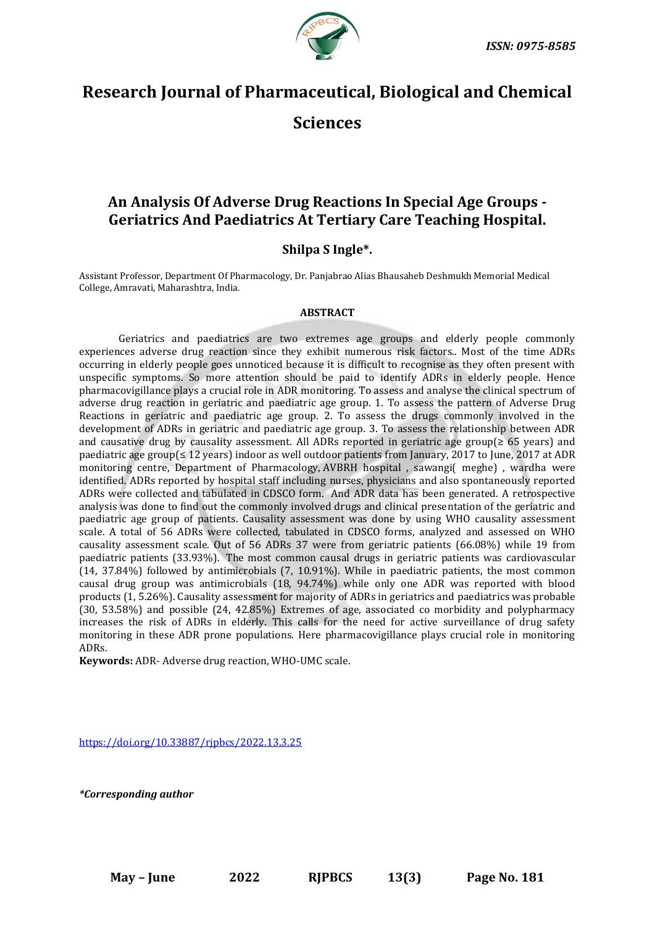

# **Research Journal of Pharmaceutical, Biological and Chemical Sciences**

# **An Analysis Of Adverse Drug Reactions In Special Age Groups - Geriatrics And Paediatrics At Tertiary Care Teaching Hospital.**

# **Shilpa S Ingle\*.**

Assistant Professor, Department Of Pharmacology, Dr. Panjabrao Alias Bhausaheb Deshmukh Memorial Medical College, Amravati, Maharashtra, India.

# **ABSTRACT**

Geriatrics and paediatrics are two extremes age groups and elderly people commonly experiences adverse drug reaction since they exhibit numerous risk factors.. Most of the time ADRs occurring in elderly people goes unnoticed because it is difficult to recognise as they often present with unspecific symptoms. So more attention should be paid to identify ADRs in elderly people. Hence pharmacovigillance plays a crucial role in ADR monitoring. To assess and analyse the clinical spectrum of adverse drug reaction in geriatric and paediatric age group. 1. To assess the pattern of Adverse Drug Reactions in geriatric and paediatric age group. 2. To assess the drugs commonly involved in the development of ADRs in geriatric and paediatric age group. 3. To assess the relationship between ADR and causative drug by causality assessment. All ADRs reported in geriatric age group(≥ 65 years) and paediatric age group(≤ 12 years) indoor as well outdoor patients from January, 2017 to June, 2017 at ADR monitoring centre, Department of Pharmacology, AVBRH hospital , sawangi( meghe) , wardha were identified. ADRs reported by hospital staff including nurses, physicians and also spontaneously reported ADRs were collected and tabulated in CDSCO form. And ADR data has been generated. A retrospective analysis was done to find out the commonly involved drugs and clinical presentation of the geriatric and paediatric age group of patients. Causality assessment was done by using WHO causality assessment scale. A total of 56 ADRs were collected, tabulated in CDSCO forms, analyzed and assessed on WHO causality assessment scale. Out of 56 ADRs 37 were from geriatric patients (66.08%) while 19 from paediatric patients (33.93%). The most common causal drugs in geriatric patients was cardiovascular (14, 37.84%) followed by antimicrobials (7, 10.91%). While in paediatric patients, the most common causal drug group was antimicrobials (18, 94.74%) while only one ADR was reported with blood products (1, 5.26%). Causality assessment for majority of ADRs in geriatrics and paediatrics was probable (30, 53.58%) and possible (24, 42.85%) Extremes of age, associated co morbidity and polypharmacy increases the risk of ADRs in elderly. This calls for the need for active surveillance of drug safety monitoring in these ADR prone populations. Here pharmacovigillance plays crucial role in monitoring ADRs.

**Keywords:** ADR- Adverse drug reaction, WHO-UMC scale.

<https://doi.org/10.33887/rjpbcs/2022.13.3.25>

*\*Corresponding author*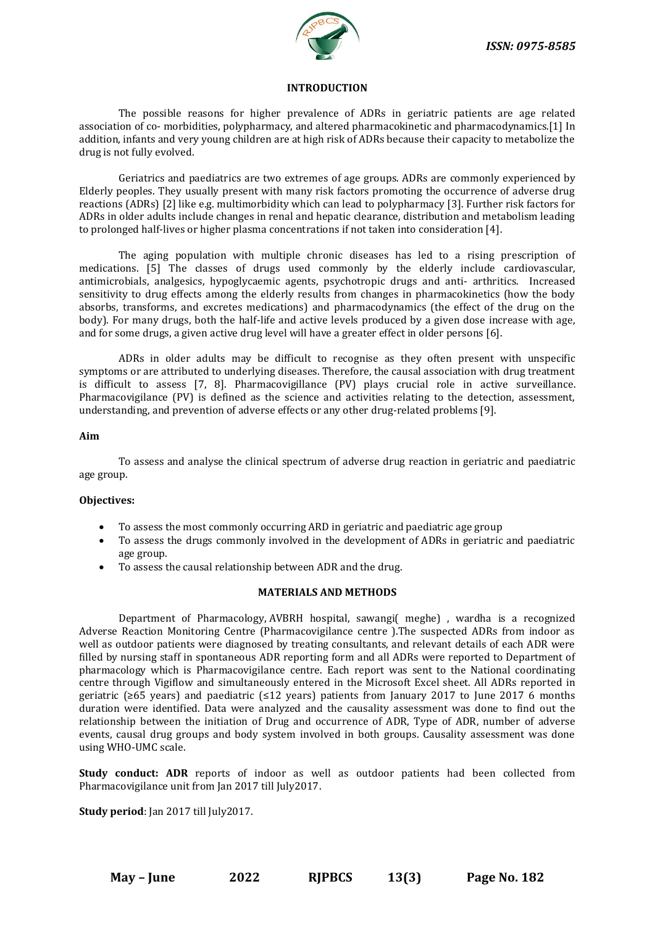

# **INTRODUCTION**

The possible reasons for higher prevalence of ADRs in geriatric patients are age related association of co- morbidities, polypharmacy, and altered pharmacokinetic and pharmacodynamics.[1] In addition, infants and very young children are at high risk of ADRs because their capacity to metabolize the drug is not fully evolved.

Geriatrics and paediatrics are two extremes of age groups. ADRs are commonly experienced by Elderly peoples. They usually present with many risk factors promoting the occurrence of adverse drug reactions (ADRs) [2] like e.g. multimorbidity which can lead to polypharmacy [3]. Further risk factors for ADRs in older adults include changes in renal and hepatic clearance, distribution and metabolism leading to prolonged half-lives or higher plasma concentrations if not taken into consideration [4].

The aging population with multiple chronic diseases has led to a rising prescription of medications. [5] The classes of drugs used commonly by the elderly include cardiovascular, antimicrobials, analgesics, hypoglycaemic agents, psychotropic drugs and anti- arthritics. Increased sensitivity to drug effects among the elderly results from changes in pharmacokinetics (how the body absorbs, transforms, and excretes medications) and pharmacodynamics (the effect of the drug on the body). For many drugs, both the half-life and active levels produced by a given dose increase with age, and for some drugs, a given active drug level will have a greater effect in older persons [6].

ADRs in older adults may be difficult to recognise as they often present with unspecific symptoms or are attributed to underlying diseases. Therefore, the causal association with drug treatment is difficult to assess [7, 8]. Pharmacovigillance (PV) plays crucial role in active surveillance. Pharmacovigilance (PV) is defined as the science and activities relating to the detection, assessment, understanding, and prevention of adverse effects or any other drug-related problems [9].

### **Aim**

To assess and analyse the clinical spectrum of adverse drug reaction in geriatric and paediatric age group.

# **Objectives:**

- To assess the most commonly occurring ARD in geriatric and paediatric age group
- To assess the drugs commonly involved in the development of ADRs in geriatric and paediatric age group.
- To assess the causal relationship between ADR and the drug.

# **MATERIALS AND METHODS**

Department of Pharmacology, AVBRH hospital, sawangi( meghe) , wardha is a recognized Adverse Reaction Monitoring Centre (Pharmacovigilance centre ).The suspected ADRs from indoor as well as outdoor patients were diagnosed by treating consultants, and relevant details of each ADR were filled by nursing staff in spontaneous ADR reporting form and all ADRs were reported to Department of pharmacology which is Pharmacovigilance centre. Each report was sent to the National coordinating centre through Vigiflow and simultaneously entered in the Microsoft Excel sheet. All ADRs reported in geriatric (≥65 years) and paediatric (≤12 years) patients from January 2017 to June 2017 6 months duration were identified. Data were analyzed and the causality assessment was done to find out the relationship between the initiation of Drug and occurrence of ADR, Type of ADR, number of adverse events, causal drug groups and body system involved in both groups. Causality assessment was done using WHO-UMC scale.

**Study conduct: ADR** reports of indoor as well as outdoor patients had been collected from Pharmacovigilance unit from Jan 2017 till July2017.

**Study period**: Jan 2017 till July2017.

**May – June 2022 RJPBCS 13(3) Page No. 182**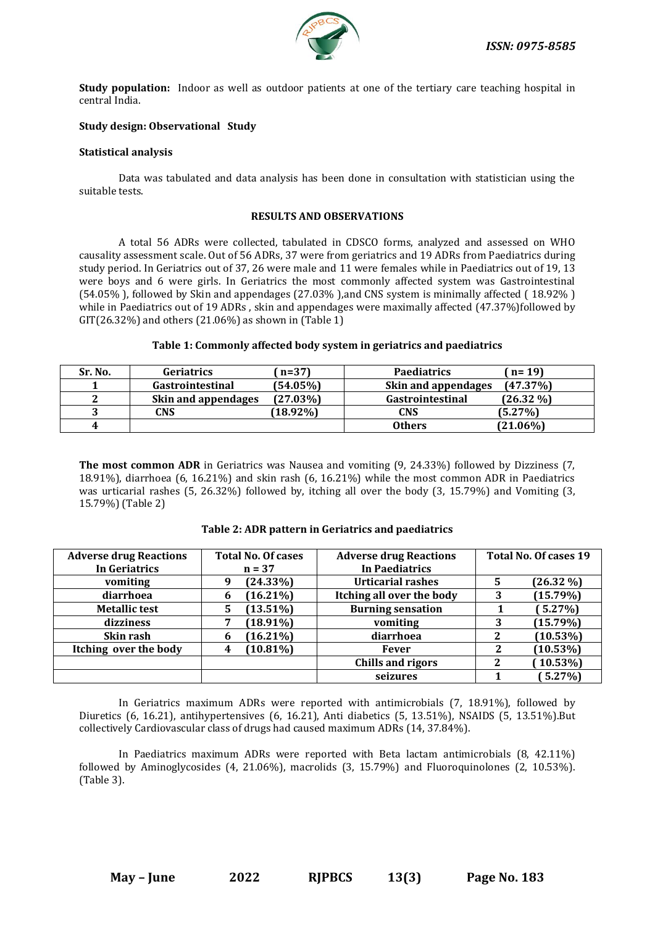

**Study population:** Indoor as well as outdoor patients at one of the tertiary care teaching hospital in central India.

# **Study design: Observational Study**

# **Statistical analysis**

Data was tabulated and data analysis has been done in consultation with statistician using the suitable tests.

#### **RESULTS AND OBSERVATIONS**

A total 56 ADRs were collected, tabulated in CDSCO forms, analyzed and assessed on WHO causality assessment scale. Out of 56 ADRs, 37 were from geriatrics and 19 ADRs from Paediatrics during study period. In Geriatrics out of 37, 26 were male and 11 were females while in Paediatrics out of 19, 13 were boys and 6 were girls. In Geriatrics the most commonly affected system was Gastrointestinal (54.05% ), followed by Skin and appendages (27.03% ),and CNS system is minimally affected ( 18.92% ) while in Paediatrics out of 19 ADRs, skin and appendages were maximally affected (47.37%)followed by GIT(26.32%) and others (21.06%) as shown in  $(2)$ 

## **Table 1: Commonly affected body system in geriatrics and paediatrics**

| Sr. No. | <b>Geriatrics</b>          | $n=37$      | <b>Paediatrics</b>      | $n = 19$     |
|---------|----------------------------|-------------|-------------------------|--------------|
|         | <b>Gastrointestinal</b>    | (54.05%)    | Skin and appendages     | (47.37%)     |
| ົ       | <b>Skin and appendages</b> | $(27.03\%)$ | <b>Gastrointestinal</b> | $(26.32\% )$ |
| ำ       | CNS                        | $(18.92\%)$ | <b>CNS</b>              | (5.27%)      |
| 4       |                            |             | <b>Others</b>           | $(21.06\%)$  |

**The most common ADR** in Geriatrics was Nausea and vomiting (9, 24.33%) followed by Dizziness (7, 18.91%), diarrhoea (6, 16.21%) and skin rash (6, 16.21%) while the most common ADR in Paediatrics was urticarial rashes (5, 26.32%) followed by, itching all over the body (3, 15.79%) and Vomiting (3, 15.79%) (Table 2)

| <b>Adverse drug Reactions</b><br>In Geriatrics | <b>Total No. Of cases</b><br>$n = 37$ | Total No. Of cases 19<br><b>Adverse drug Reactions</b><br><b>In Paediatrics</b> |   |              |
|------------------------------------------------|---------------------------------------|---------------------------------------------------------------------------------|---|--------------|
| vomiting                                       | $(24.33\%)$<br>9                      | <b>Urticarial rashes</b>                                                        | 5 | $(26.32\% )$ |
| diarrhoea                                      | $16.21\%$<br>b                        | Itching all over the body                                                       | 3 | (15.79%)     |
| <b>Metallic test</b>                           | $(13.51\%)$<br>5                      | <b>Burning sensation</b>                                                        |   | $5.27\%$     |
| dizziness                                      | $(18.91\%)$                           | vomiting                                                                        | 3 | (15.79%)     |
| Skin rash                                      | $16.21\%$<br>o                        | diarrhoea                                                                       | 2 | (10.53%)     |
| Itching over the body                          | $(10.81\%)$<br>4                      | <b>Fever</b>                                                                    | 2 | $(10.53\%)$  |
|                                                |                                       | <b>Chills and rigors</b>                                                        | 2 | $(10.53\%)$  |
|                                                |                                       | seizures                                                                        |   | $5.27\%$     |

# **Table 2: ADR pattern in Geriatrics and paediatrics**

In Geriatrics maximum ADRs were reported with antimicrobials (7, 18.91%), followed by Diuretics (6, 16.21), antihypertensives (6, 16.21), Anti diabetics (5, 13.51%), NSAIDS (5, 13.51%).But collectively Cardiovascular class of drugs had caused maximum ADRs (14, 37.84%).

In Paediatrics maximum ADRs were reported with Beta lactam antimicrobials (8, 42.11%) followed by Aminoglycosides (4, 21.06%), macrolids (3, 15.79%) and Fluoroquinolones (2, 10.53%). (Table 3).

**May – June 2022 RJPBCS 13(3) Page No. 183**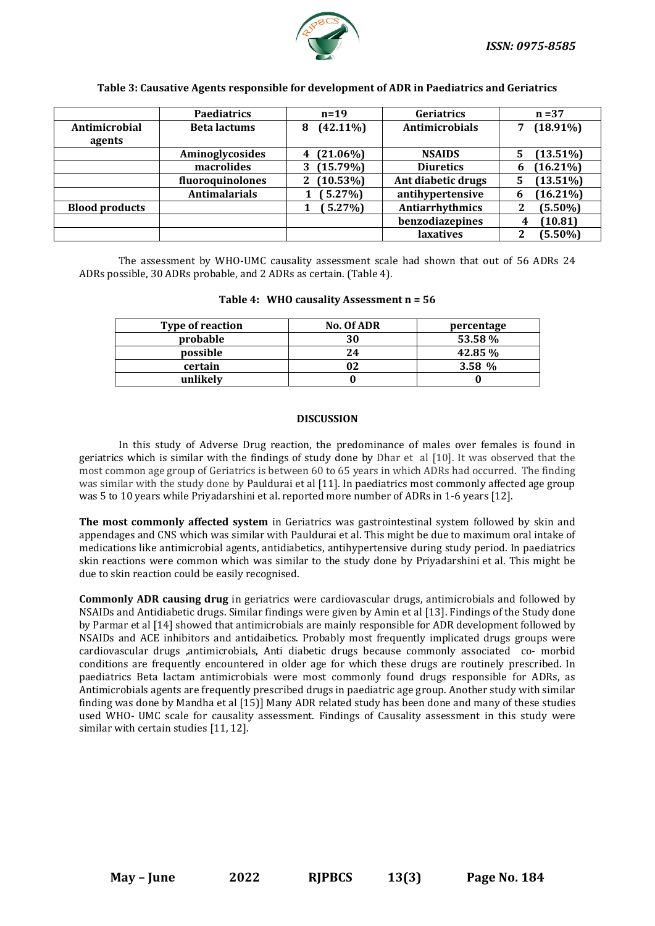

#### **Table 3: Causative Agents responsible for development of ADR in Paediatrics and Geriatrics**

|                       | <b>Paediatrics</b>   | $n=19$           | Geriatrics         | $n = 37$         |
|-----------------------|----------------------|------------------|--------------------|------------------|
| Antimicrobial         | <b>Beta lactums</b>  | $(42.11\%)$<br>8 | Antimicrobials     | $(18.91\%)$      |
| agents                |                      |                  |                    |                  |
|                       | Aminoglycosides      | $(21.06\%)$<br>4 | <b>NSAIDS</b>      | $(13.51\%)$<br>5 |
|                       | macrolides           | (15.79%)         | <b>Diuretics</b>   | $(16.21\%)$<br>6 |
|                       | fluoroquinolones     | $(10.53\%)$<br>2 | Ant diabetic drugs | $(13.51\%)$<br>5 |
|                       | <b>Antimalarials</b> | $5.27\%$         | antihypertensive   | $(16.21\%)$<br>h |
| <b>Blood products</b> |                      | $5.27\%$         | Antiarrhythmics    | $(5.50\%)$<br>2  |
|                       |                      |                  | benzodiazepines    | (10.81)<br>4     |
|                       |                      |                  | laxatives          | $(5.50\%)$<br>2  |

The assessment by WHO-UMC causality assessment scale had shown that out of 56 ADRs 24 ADRs possible, 30 ADRs probable, and 2 ADRs as certain. (Table 4).

| <b>Type of reaction</b> | <b>No. Of ADR</b> | percentage |
|-------------------------|-------------------|------------|
| probable                | 30                | 53.58%     |
| possible                | 24                | 42.85%     |
| certain                 |                   | 3.58 %     |
| unlikely                |                   |            |

# **Table 4: WHO causality Assessment n = 56**

#### **DISCUSSION**

In this study of Adverse Drug reaction, the predominance of males over females is found in geriatrics which is similar with the findings of study done by Dhar et al [10]. It was observed that the most common age group of Geriatrics is between 60 to 65 years in which ADRs had occurred. The finding was similar with the study done by Pauldurai et al [11]. In paediatrics most commonly affected age group was 5 to 10 years while Priyadarshini et al. reported more number of ADRs in 1-6 years [12].

**The most commonly affected system** in Geriatrics was gastrointestinal system followed by skin and appendages and CNS which was similar with Pauldurai et al. This might be due to maximum oral intake of medications like antimicrobial agents, antidiabetics, antihypertensive during study period. In paediatrics skin reactions were common which was similar to the study done by Priyadarshini et al. This might be due to skin reaction could be easily recognised.

**Commonly ADR causing drug** in geriatrics were cardiovascular drugs, antimicrobials and followed by NSAIDs and Antidiabetic drugs. Similar findings were given by Amin et al [13]. Findings of the Study done by Parmar et al [14] showed that antimicrobials are mainly responsible for ADR development followed by NSAIDs and ACE inhibitors and antidaibetics. Probably most frequently implicated drugs groups were cardiovascular drugs ,antimicrobials, Anti diabetic drugs because commonly associated co- morbid conditions are frequently encountered in older age for which these drugs are routinely prescribed. In paediatrics Beta lactam antimicrobials were most commonly found drugs responsible for ADRs, as Antimicrobials agents are frequently prescribed drugs in paediatric age group. Another study with similar finding was done by Mandha et al [15)] Many ADR related study has been done and many of these studies used WHO- UMC scale for causality assessment. Findings of Causality assessment in this study were similar with certain studies [11, 12].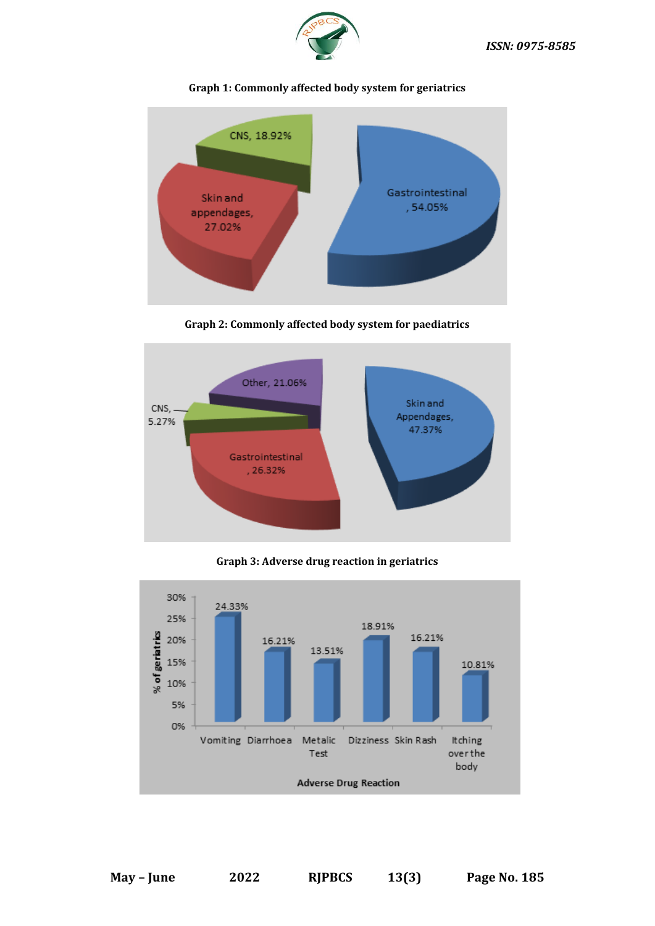



# **Graph 1: Commonly affected body system for geriatrics**

**Graph 2: Commonly affected body system for paediatrics**



**Graph 3: Adverse drug reaction in geriatrics**

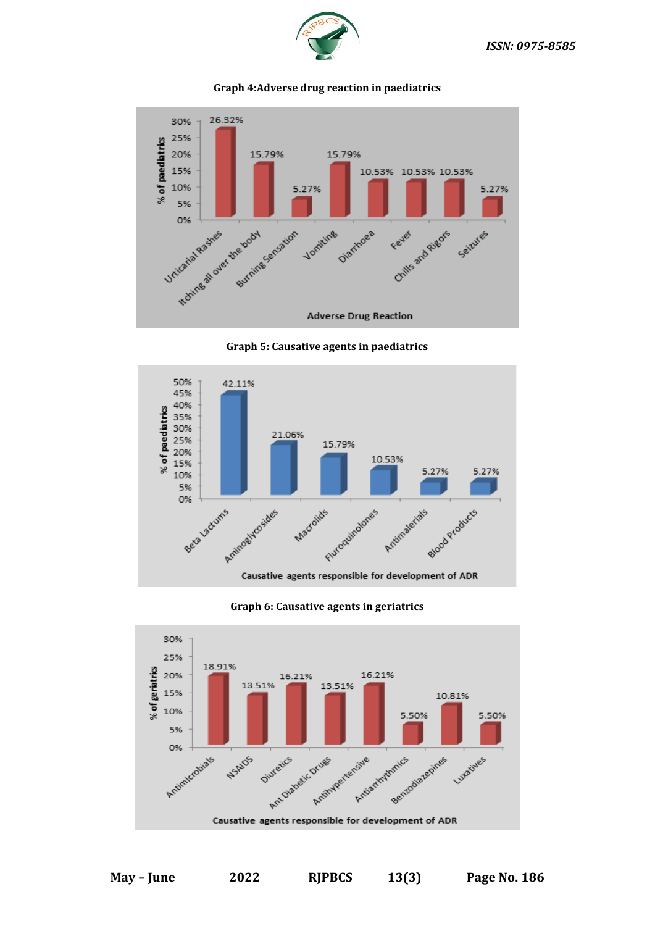



# **Graph 4:Adverse drug reaction in paediatrics**





# **Graph 6: Causative agents in geriatrics**